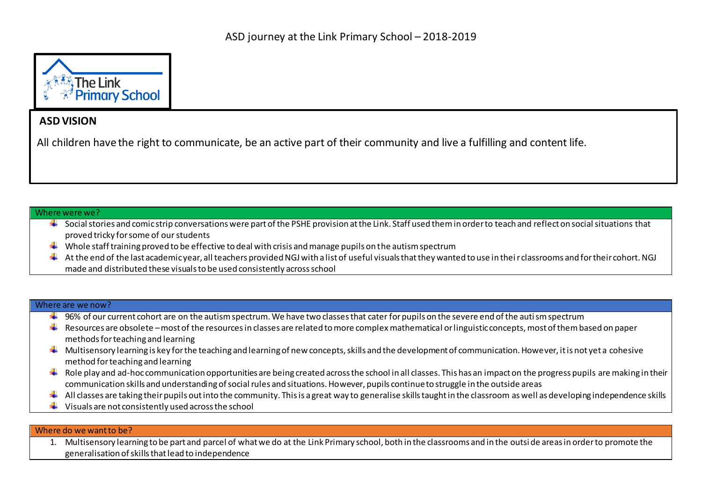

## **ASD VISION**

All children have the right to communicate, be an active part of their community and live a fulfilling and content life.

## Where were we?

- $\ddotplus$  Social stories and comic strip conversations were part of the PSHE provision at the Link. Staff used them in order to teach and reflect on social situations that proved tricky for some of our students
- Whole staff training proved to be effective to deal with crisis and manage pupils on the autism spectrum
- $\ddotplus$  At the end of the last academic year, all teachers provided NGJ with a list of useful visuals that they wanted to use in their classrooms and for their cohort. NGJ made and distributed these visuals to be used consistently across school

## Where are we now?

- $\ddotplus$  96% of our current cohort are on the autism spectrum. We have two classes that cater for pupils on the severe end of the autism spectrum
- $\ddotplus$  Resources are obsolete –most of the resources in classes are related to more complex mathematical or linguistic concepts, most of them based on paper methods for teaching and learning
- $\ddot{*}$  Multisensory learning is key for the teaching and learning of new concepts, skills and the development of communication. However, it is not yet a cohesive method for teaching and learning
- $\ddot{\bullet}$  Role play and ad-hoc communication opportunities are being created across the school in all classes. This has an impact on the progress pupils are making in their communication skills and understanding of social rules and situations. However, pupils continue to struggle in the outside areas
- All classes are taking their pupils out into the community. This is a great way to generalise skills taught in the classroom as well as developing independence skills
- $\ddot{\phantom{a}}$  Visuals are not consistently used across the school

## Where do we want to be?

1. Multisensory learning to be part and parcel of what we do at the Link Primary school, both in the classrooms and in the outsi de areas in order to promote the generalisation of skills that lead to independence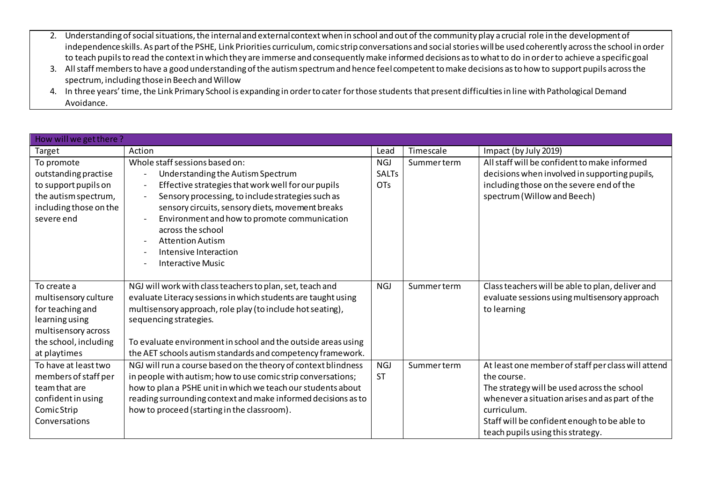- 2. Understanding of social situations, the internal and external context when in school and out of the community play a crucial role in the development of independence skills. As part of the PSHE, Link Priorities curriculum, comic strip conversations and social stories will be used coherently across the school in order to teach pupils to read the context in which they are immerse and consequently make informed decisions as to what to do in order to achieve a specific goal
- 3. All staff members to have a good understanding of the autism spectrum and hence feel competent to make decisions as to how to support pupils across the spectrum, including those in Beech and Willow
- 4. In three years' time, the Link Primary School is expanding in order to cater for those students that present difficulties in line with Pathological Demand Avoidance.

| How will we get there? |                                                                                |              |            |                                                    |  |  |
|------------------------|--------------------------------------------------------------------------------|--------------|------------|----------------------------------------------------|--|--|
| Target                 | Action                                                                         | Lead         | Timescale  | Impact (by July 2019)                              |  |  |
| To promote             | Whole staff sessions based on:                                                 | <b>NGJ</b>   | Summerterm | All staff will be confident to make informed       |  |  |
| outstanding practise   | Understanding the Autism Spectrum<br>$\qquad \qquad -$                         | <b>SALTs</b> |            | decisions when involved in supporting pupils,      |  |  |
| to support pupils on   | Effective strategies that work well for our pupils<br>$\overline{\phantom{a}}$ | <b>OTs</b>   |            | including those on the severe end of the           |  |  |
| the autism spectrum,   | Sensory processing, to include strategies such as<br>$\overline{\phantom{a}}$  |              |            | spectrum (Willow and Beech)                        |  |  |
| including those on the | sensory circuits, sensory diets, movement breaks                               |              |            |                                                    |  |  |
| severe end             | Environment and how to promote communication                                   |              |            |                                                    |  |  |
|                        | across the school                                                              |              |            |                                                    |  |  |
|                        | <b>Attention Autism</b><br>$\overline{\phantom{a}}$                            |              |            |                                                    |  |  |
|                        | Intensive Interaction                                                          |              |            |                                                    |  |  |
|                        | <b>Interactive Music</b>                                                       |              |            |                                                    |  |  |
|                        |                                                                                |              |            |                                                    |  |  |
| To create a            | NGJ will work with class teachers to plan, set, teach and                      | <b>NGJ</b>   | Summerterm | Class teachers will be able to plan, deliver and   |  |  |
| multisensory culture   | evaluate Literacy sessions in which students are taught using                  |              |            | evaluate sessions using multisensory approach      |  |  |
| for teaching and       | multisensory approach, role play (to include hot seating),                     |              |            | to learning                                        |  |  |
| learning using         | sequencing strategies.                                                         |              |            |                                                    |  |  |
| multisensory across    |                                                                                |              |            |                                                    |  |  |
| the school, including  | To evaluate environment in school and the outside areas using                  |              |            |                                                    |  |  |
| at playtimes           | the AET schools autism standards and competency framework.                     |              |            |                                                    |  |  |
| To have at least two   | NGJ will run a course based on the theory of context blindness                 | <b>NGJ</b>   | Summerterm | At least one member of staff per class will attend |  |  |
| members of staff per   | in people with autism; how to use comic strip conversations;                   | <b>ST</b>    |            | the course.                                        |  |  |
| team that are          | how to plan a PSHE unit in which we teach our students about                   |              |            | The strategy will be used across the school        |  |  |
| confident in using     | reading surrounding context and make informed decisions as to                  |              |            | whenever a situation arises and as part of the     |  |  |
| Comic Strip            | how to proceed (starting in the classroom).                                    |              |            | curriculum.                                        |  |  |
| Conversations          |                                                                                |              |            | Staff will be confident enough to be able to       |  |  |
|                        |                                                                                |              |            | teach pupils using this strategy.                  |  |  |